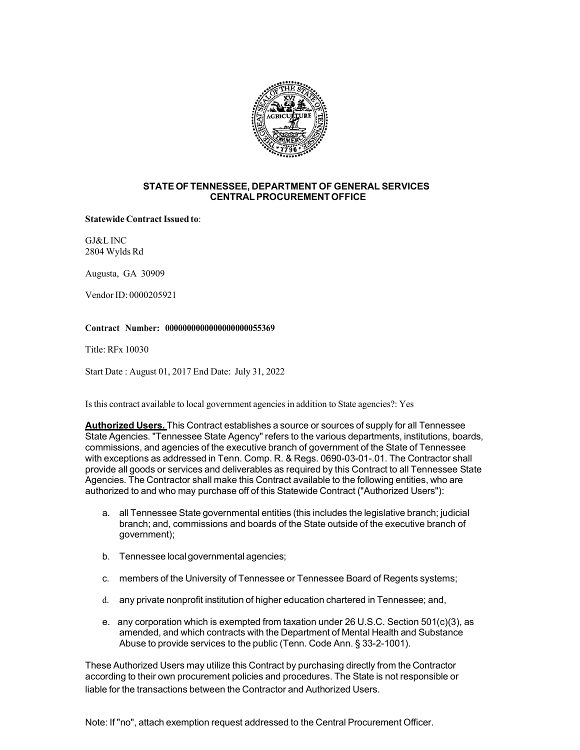

# **STATEOF TENNESSEE, DEPARTMENT OF GENERAL SERVICES CENTRALPROCUREMENTOFFICE**

## **Statewide ContractIssued to**:

GJ&L INC 2804 Wylds Rd

Augusta, GA 30909

Vendor ID: 0000205921

## **Contract Number: 0000000000000000000055369**

Title: RFx 10030

Start Date : August 01, 2017 End Date: July 31, 2022

Is this contract available to local government agencies in addition to State agencies?: Yes

**Authorized Users.** This Contract establishes a source or sources of supply for all Tennessee State Agencies. "Tennessee State Agency" refers to the various departments, institutions, boards, commissions, and agencies of the executive branch of government of the State of Tennessee with exceptions as addressed in Tenn. Comp. R. & Regs. 0690-03-01-.01. The Contractor shall provide all goods or services and deliverables as required by this Contract to all Tennessee State Agencies. The Contractor shall make this Contract available to the following entities, who are authorized to and who may purchase off of this Statewide Contract ("Authorized Users"):

- a. all Tennessee State governmental entities (this includes the legislative branch; judicial branch; and, commissions and boards of the State outside of the executive branch of government);
- b. Tennessee localgovernmental agencies;
- c. members of the University of Tennessee or Tennessee Board of Regents systems;
- d. any private nonprofit institution of higher education chartered in Tennessee; and,
- e. any corporation which is exempted from taxation under 26 U.S.C. Section 501(c)(3), as amended, and which contracts with the Department of Mental Health and Substance Abuse to provide services to the public (Tenn. Code Ann. § 33-2-1001).

These Authorized Users may utilize this Contract by purchasing directly from the Contractor according to their own procurement policies and procedures. The State is not responsible or liable for the transactions between the Contractor and Authorized Users.

Note: If "no", attach exemption request addressed to the Central Procurement Officer.